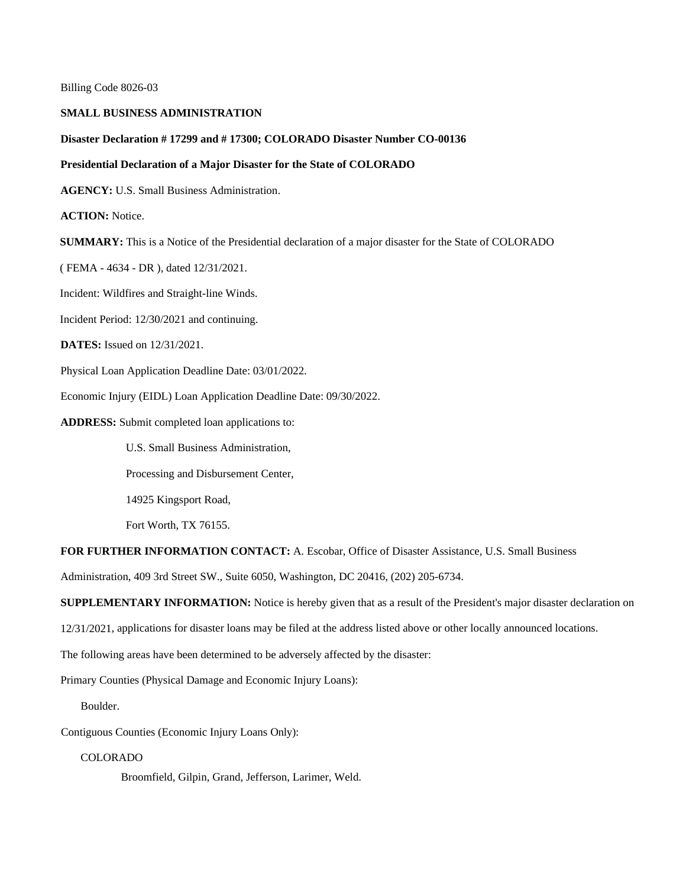Billing Code 8026-03

### **SMALL BUSINESS ADMINISTRATION**

#### **Disaster Declaration # 17299 and # 17300; COLORADO Disaster Number CO-00136**

### **Presidential Declaration of a Major Disaster for the State of COLORADO**

**AGENCY:** U.S. Small Business Administration.

**ACTION:** Notice.

**SUMMARY:** This is a Notice of the Presidential declaration of a major disaster for the State of COLORADO

( FEMA - 4634 - DR ), dated 12/31/2021.

Incident: Wildfires and Straight-line Winds.

Incident Period: 12/30/2021 and continuing.

**DATES:** Issued on 12/31/2021.

Physical Loan Application Deadline Date: 03/01/2022.

Economic Injury (EIDL) Loan Application Deadline Date: 09/30/2022.

**ADDRESS:** Submit completed loan applications to:

U.S. Small Business Administration,

Processing and Disbursement Center,

14925 Kingsport Road,

Fort Worth, TX 76155.

# **FOR FURTHER INFORMATION CONTACT:** A. Escobar, Office of Disaster Assistance, U.S. Small Business

Administration, 409 3rd Street SW., Suite 6050, Washington, DC 20416, (202) 205-6734.

**SUPPLEMENTARY INFORMATION:** Notice is hereby given that as a result of the President's major disaster declaration on

12/31/2021, applications for disaster loans may be filed at the address listed above or other locally announced locations.

The following areas have been determined to be adversely affected by the disaster:

Primary Counties (Physical Damage and Economic Injury Loans):

Boulder.

Contiguous Counties (Economic Injury Loans Only):

# COLORADO

Broomfield, Gilpin, Grand, Jefferson, Larimer, Weld.